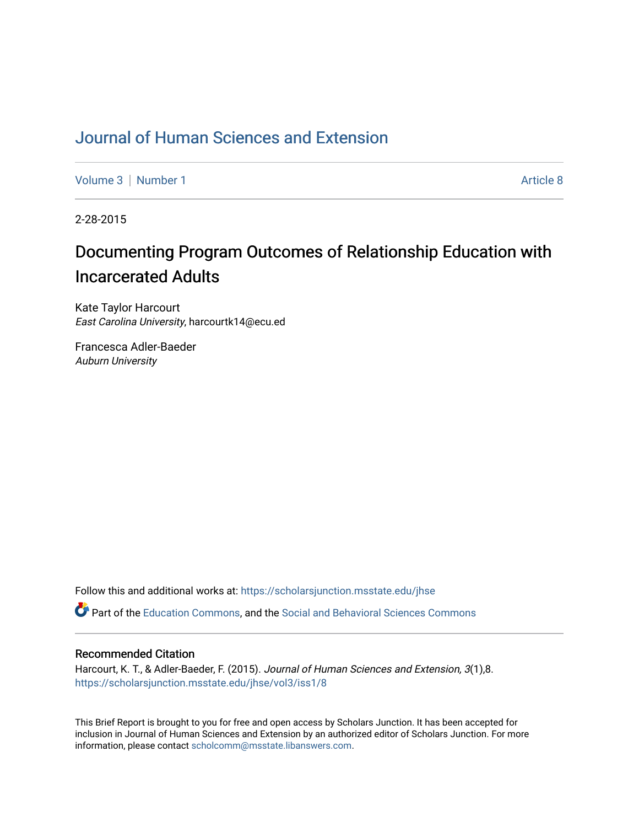## [Journal of Human Sciences and Extension](https://scholarsjunction.msstate.edu/jhse)

[Volume 3](https://scholarsjunction.msstate.edu/jhse/vol3) | [Number 1](https://scholarsjunction.msstate.edu/jhse/vol3/iss1) Article 8

2-28-2015

# Documenting Program Outcomes of Relationship Education with Incarcerated Adults

Kate Taylor Harcourt East Carolina University, harcourtk14@ecu.ed

Francesca Adler-Baeder Auburn University

Follow this and additional works at: [https://scholarsjunction.msstate.edu/jhse](https://scholarsjunction.msstate.edu/jhse?utm_source=scholarsjunction.msstate.edu%2Fjhse%2Fvol3%2Fiss1%2F8&utm_medium=PDF&utm_campaign=PDFCoverPages)

Part of the [Education Commons](http://network.bepress.com/hgg/discipline/784?utm_source=scholarsjunction.msstate.edu%2Fjhse%2Fvol3%2Fiss1%2F8&utm_medium=PDF&utm_campaign=PDFCoverPages), and the [Social and Behavioral Sciences Commons](http://network.bepress.com/hgg/discipline/316?utm_source=scholarsjunction.msstate.edu%2Fjhse%2Fvol3%2Fiss1%2F8&utm_medium=PDF&utm_campaign=PDFCoverPages) 

#### Recommended Citation

Harcourt, K. T., & Adler-Baeder, F. (2015). Journal of Human Sciences and Extension, 3(1),8. [https://scholarsjunction.msstate.edu/jhse/vol3/iss1/8](https://scholarsjunction.msstate.edu/jhse/vol3/iss1/8?utm_source=scholarsjunction.msstate.edu%2Fjhse%2Fvol3%2Fiss1%2F8&utm_medium=PDF&utm_campaign=PDFCoverPages)

This Brief Report is brought to you for free and open access by Scholars Junction. It has been accepted for inclusion in Journal of Human Sciences and Extension by an authorized editor of Scholars Junction. For more information, please contact [scholcomm@msstate.libanswers.com](mailto:scholcomm@msstate.libanswers.com).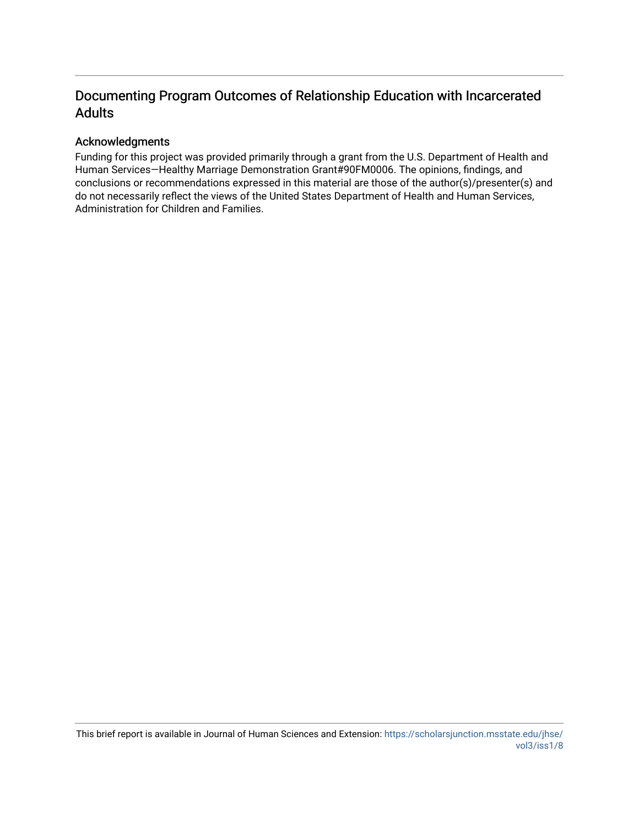## Documenting Program Outcomes of Relationship Education with Incarcerated Adults

## Acknowledgments

Funding for this project was provided primarily through a grant from the U.S. Department of Health and Human Services—Healthy Marriage Demonstration Grant#90FM0006. The opinions, findings, and conclusions or recommendations expressed in this material are those of the author(s)/presenter(s) and do not necessarily reflect the views of the United States Department of Health and Human Services, Administration for Children and Families.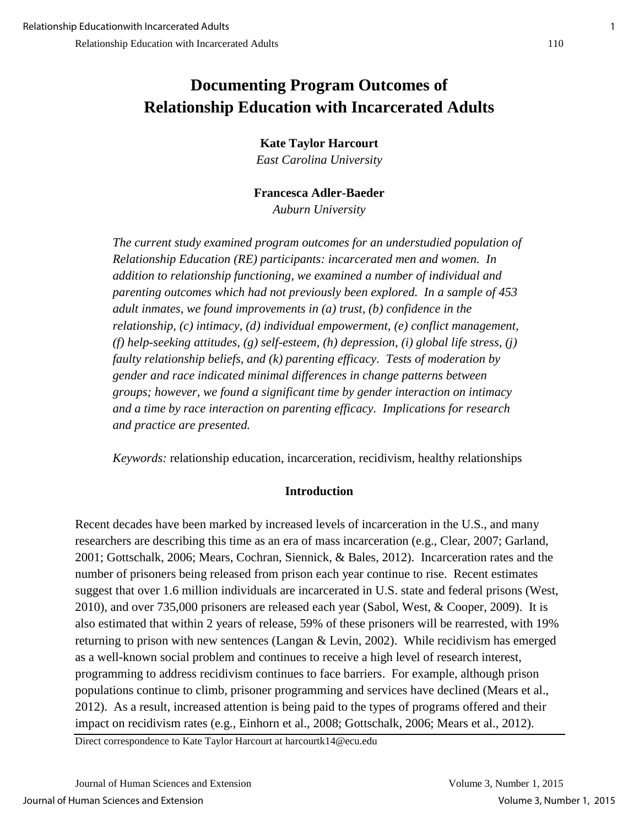## **Documenting Program Outcomes of Relationship Education with Incarcerated Adults**

**Kate Taylor Harcourt** 

*East Carolina University* 

**Francesca Adler-Baeder**  *Auburn University* 

*The current study examined program outcomes for an understudied population of Relationship Education (RE) participants: incarcerated men and women. In addition to relationship functioning, we examined a number of individual and parenting outcomes which had not previously been explored. In a sample of 453 adult inmates, we found improvements in (a) trust, (b) confidence in the relationship, (c) intimacy, (d) individual empowerment, (e) conflict management, (f) help-seeking attitudes, (g) self-esteem, (h) depression, (i) global life stress, (j) faulty relationship beliefs, and (k) parenting efficacy. Tests of moderation by gender and race indicated minimal differences in change patterns between groups; however, we found a significant time by gender interaction on intimacy and a time by race interaction on parenting efficacy. Implications for research and practice are presented.* 

*Keywords:* relationship education, incarceration, recidivism, healthy relationships

## **Introduction**

Recent decades have been marked by increased levels of incarceration in the U.S., and many researchers are describing this time as an era of mass incarceration (e.g., Clear, 2007; Garland, 2001; Gottschalk, 2006; Mears, Cochran, Siennick, & Bales, 2012). Incarceration rates and the number of prisoners being released from prison each year continue to rise. Recent estimates suggest that over 1.6 million individuals are incarcerated in U.S. state and federal prisons (West, 2010), and over 735,000 prisoners are released each year (Sabol, West, & Cooper, 2009). It is also estimated that within 2 years of release, 59% of these prisoners will be rearrested, with 19% returning to prison with new sentences (Langan & Levin, 2002). While recidivism has emerged as a well-known social problem and continues to receive a high level of research interest, programming to address recidivism continues to face barriers. For example, although prison populations continue to climb, prisoner programming and services have declined (Mears et al., 2012). As a result, increased attention is being paid to the types of programs offered and their impact on recidivism rates (e.g., Einhorn et al., 2008; Gottschalk, 2006; Mears et al., 2012).

Direct correspondence to Kate Taylor Harcourt at harcourtk14@ecu.edu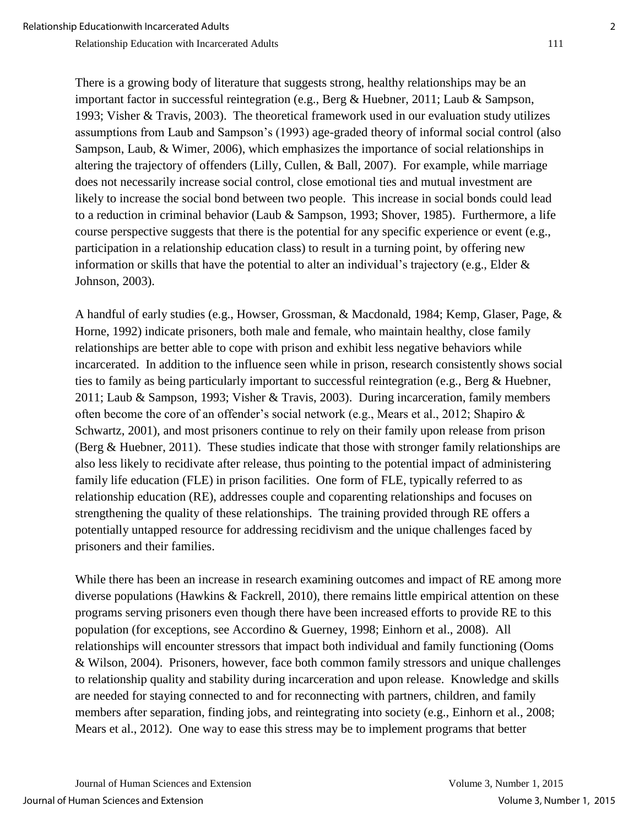Johnson, 2003).

Relationship Education with Incarcerated Adults 111

There is a growing body of literature that suggests strong, healthy relationships may be an important factor in successful reintegration (e.g., Berg & Huebner, 2011; Laub & Sampson, 1993; Visher & Travis, 2003). The theoretical framework used in our evaluation study utilizes assumptions from Laub and Sampson's (1993) age-graded theory of informal social control (also Sampson, Laub, & Wimer, 2006), which emphasizes the importance of social relationships in altering the trajectory of offenders (Lilly, Cullen, & Ball, 2007). For example, while marriage does not necessarily increase social control, close emotional ties and mutual investment are likely to increase the social bond between two people. This increase in social bonds could lead to a reduction in criminal behavior (Laub & Sampson, 1993; Shover, 1985). Furthermore, a life course perspective suggests that there is the potential for any specific experience or event (e.g., participation in a relationship education class) to result in a turning point, by offering new

information or skills that have the potential to alter an individual's trajectory (e.g., Elder &

A handful of early studies (e.g., Howser, Grossman, & Macdonald, 1984; Kemp, Glaser, Page, & Horne, 1992) indicate prisoners, both male and female, who maintain healthy, close family relationships are better able to cope with prison and exhibit less negative behaviors while incarcerated. In addition to the influence seen while in prison, research consistently shows social ties to family as being particularly important to successful reintegration (e.g., Berg & Huebner, 2011; Laub & Sampson, 1993; Visher & Travis, 2003). During incarceration, family members often become the core of an offender's social network (e.g., Mears et al., 2012; Shapiro & Schwartz, 2001), and most prisoners continue to rely on their family upon release from prison (Berg & Huebner, 2011). These studies indicate that those with stronger family relationships are also less likely to recidivate after release, thus pointing to the potential impact of administering family life education (FLE) in prison facilities. One form of FLE, typically referred to as relationship education (RE), addresses couple and coparenting relationships and focuses on strengthening the quality of these relationships. The training provided through RE offers a potentially untapped resource for addressing recidivism and the unique challenges faced by prisoners and their families.

While there has been an increase in research examining outcomes and impact of RE among more diverse populations (Hawkins & Fackrell, 2010), there remains little empirical attention on these programs serving prisoners even though there have been increased efforts to provide RE to this population (for exceptions, see Accordino & Guerney, 1998; Einhorn et al., 2008). All relationships will encounter stressors that impact both individual and family functioning (Ooms & Wilson, 2004). Prisoners, however, face both common family stressors and unique challenges to relationship quality and stability during incarceration and upon release. Knowledge and skills are needed for staying connected to and for reconnecting with partners, children, and family members after separation, finding jobs, and reintegrating into society (e.g., Einhorn et al., 2008; Mears et al., 2012). One way to ease this stress may be to implement programs that better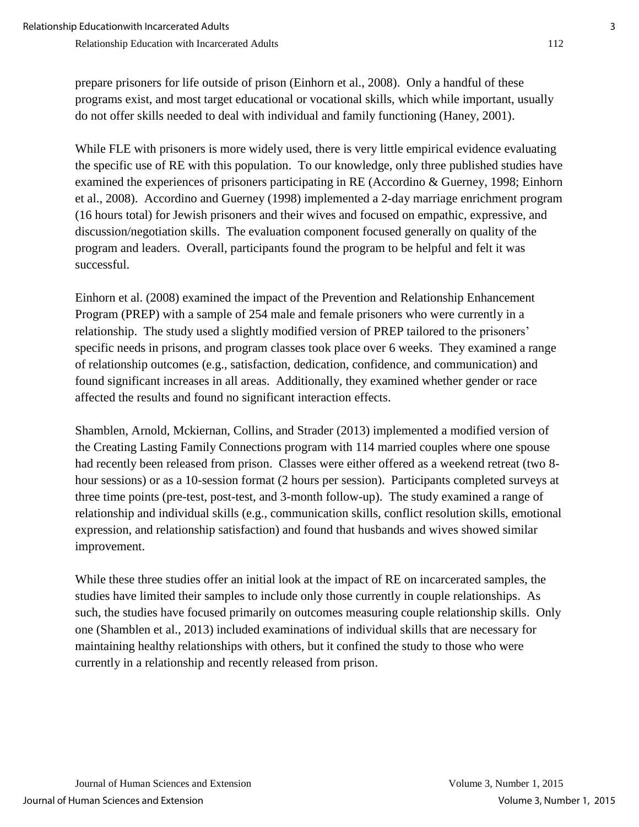prepare prisoners for life outside of prison (Einhorn et al., 2008). Only a handful of these programs exist, and most target educational or vocational skills, which while important, usually do not offer skills needed to deal with individual and family functioning (Haney, 2001).

While FLE with prisoners is more widely used, there is very little empirical evidence evaluating the specific use of RE with this population. To our knowledge, only three published studies have examined the experiences of prisoners participating in RE (Accordino & Guerney, 1998; Einhorn et al., 2008). Accordino and Guerney (1998) implemented a 2-day marriage enrichment program (16 hours total) for Jewish prisoners and their wives and focused on empathic, expressive, and discussion/negotiation skills. The evaluation component focused generally on quality of the program and leaders. Overall, participants found the program to be helpful and felt it was successful.

Einhorn et al. (2008) examined the impact of the Prevention and Relationship Enhancement Program (PREP) with a sample of 254 male and female prisoners who were currently in a relationship. The study used a slightly modified version of PREP tailored to the prisoners' specific needs in prisons, and program classes took place over 6 weeks. They examined a range of relationship outcomes (e.g., satisfaction, dedication, confidence, and communication) and found significant increases in all areas. Additionally, they examined whether gender or race affected the results and found no significant interaction effects.

Shamblen, Arnold, Mckiernan, Collins, and Strader (2013) implemented a modified version of the Creating Lasting Family Connections program with 114 married couples where one spouse had recently been released from prison. Classes were either offered as a weekend retreat (two 8 hour sessions) or as a 10-session format (2 hours per session). Participants completed surveys at three time points (pre-test, post-test, and 3-month follow-up). The study examined a range of relationship and individual skills (e.g., communication skills, conflict resolution skills, emotional expression, and relationship satisfaction) and found that husbands and wives showed similar improvement.

While these three studies offer an initial look at the impact of RE on incarcerated samples, the studies have limited their samples to include only those currently in couple relationships. As such, the studies have focused primarily on outcomes measuring couple relationship skills. Only one (Shamblen et al., 2013) included examinations of individual skills that are necessary for maintaining healthy relationships with others, but it confined the study to those who were currently in a relationship and recently released from prison.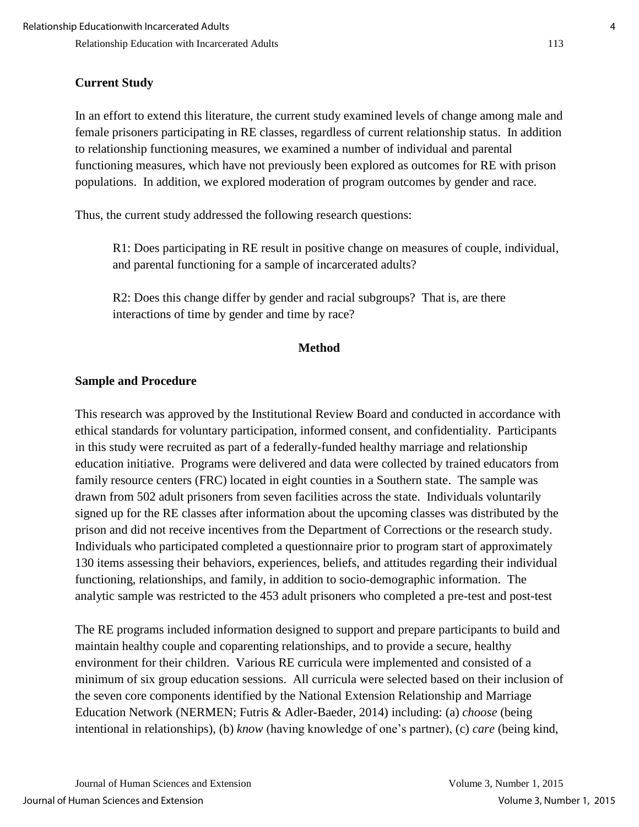## **Current Study**

In an effort to extend this literature, the current study examined levels of change among male and female prisoners participating in RE classes, regardless of current relationship status. In addition to relationship functioning measures, we examined a number of individual and parental functioning measures, which have not previously been explored as outcomes for RE with prison populations. In addition, we explored moderation of program outcomes by gender and race.

Thus, the current study addressed the following research questions:

R1: Does participating in RE result in positive change on measures of couple, individual, and parental functioning for a sample of incarcerated adults?

R2: Does this change differ by gender and racial subgroups? That is, are there interactions of time by gender and time by race?

## **Method**

## **Sample and Procedure**

This research was approved by the Institutional Review Board and conducted in accordance with ethical standards for voluntary participation, informed consent, and confidentiality. Participants in this study were recruited as part of a federally-funded healthy marriage and relationship education initiative. Programs were delivered and data were collected by trained educators from family resource centers (FRC) located in eight counties in a Southern state. The sample was drawn from 502 adult prisoners from seven facilities across the state. Individuals voluntarily signed up for the RE classes after information about the upcoming classes was distributed by the prison and did not receive incentives from the Department of Corrections or the research study. Individuals who participated completed a questionnaire prior to program start of approximately 130 items assessing their behaviors, experiences, beliefs, and attitudes regarding their individual functioning, relationships, and family, in addition to socio-demographic information. The analytic sample was restricted to the 453 adult prisoners who completed a pre-test and post-test

The RE programs included information designed to support and prepare participants to build and maintain healthy couple and coparenting relationships, and to provide a secure, healthy environment for their children. Various RE curricula were implemented and consisted of a minimum of six group education sessions. All curricula were selected based on their inclusion of the seven core components identified by the National Extension Relationship and Marriage Education Network (NERMEN; Futris & Adler-Baeder, 2014) including: (a) *choose* (being intentional in relationships), (b) *know* (having knowledge of one's partner), (c) *care* (being kind,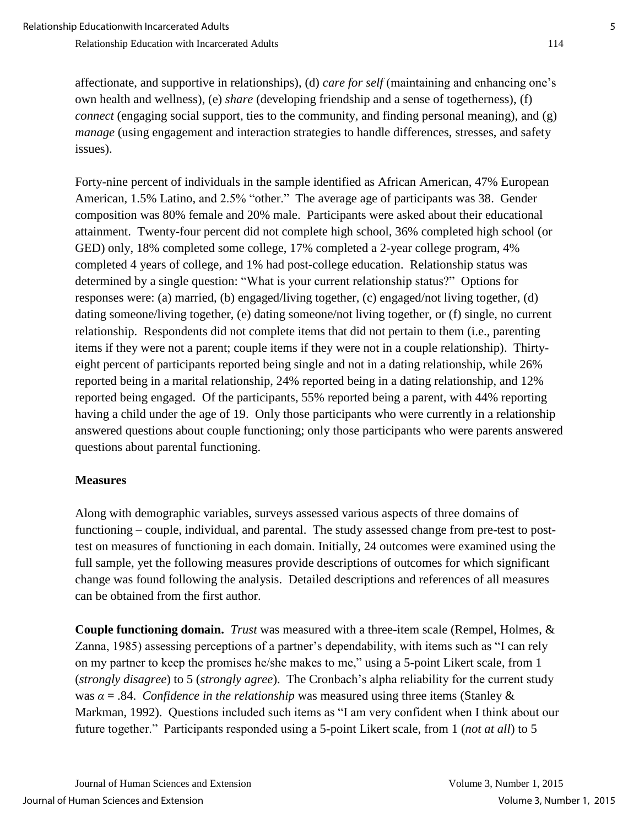affectionate, and supportive in relationships), (d) *care for self* (maintaining and enhancing one's own health and wellness), (e) *share* (developing friendship and a sense of togetherness), (f) *connect* (engaging social support, ties to the community, and finding personal meaning), and (g) *manage* (using engagement and interaction strategies to handle differences, stresses, and safety issues).

Forty-nine percent of individuals in the sample identified as African American, 47% European American, 1.5% Latino, and 2.5% "other." The average age of participants was 38. Gender composition was 80% female and 20% male. Participants were asked about their educational attainment. Twenty-four percent did not complete high school, 36% completed high school (or GED) only, 18% completed some college, 17% completed a 2-year college program, 4% completed 4 years of college, and 1% had post-college education. Relationship status was determined by a single question: "What is your current relationship status?" Options for responses were: (a) married, (b) engaged/living together, (c) engaged/not living together, (d) dating someone/living together, (e) dating someone/not living together, or (f) single, no current relationship. Respondents did not complete items that did not pertain to them (i.e., parenting items if they were not a parent; couple items if they were not in a couple relationship). Thirtyeight percent of participants reported being single and not in a dating relationship, while 26% reported being in a marital relationship, 24% reported being in a dating relationship, and 12% reported being engaged. Of the participants, 55% reported being a parent, with 44% reporting having a child under the age of 19. Only those participants who were currently in a relationship answered questions about couple functioning; only those participants who were parents answered questions about parental functioning.

### **Measures**

Along with demographic variables, surveys assessed various aspects of three domains of functioning – couple, individual, and parental. The study assessed change from pre-test to posttest on measures of functioning in each domain. Initially, 24 outcomes were examined using the full sample, yet the following measures provide descriptions of outcomes for which significant change was found following the analysis. Detailed descriptions and references of all measures can be obtained from the first author.

**Couple functioning domain.** *Trust* was measured with a three-item scale (Rempel, Holmes, & Zanna, 1985) assessing perceptions of a partner's dependability, with items such as "I can rely on my partner to keep the promises he/she makes to me," using a 5-point Likert scale, from 1 (*strongly disagree*) to 5 (*strongly agree*). The Cronbach's alpha reliability for the current study was  $\alpha = .84$ . *Confidence in the relationship* was measured using three items (Stanley & Markman, 1992). Questions included such items as "I am very confident when I think about our future together." Participants responded using a 5-point Likert scale, from 1 (*not at all*) to 5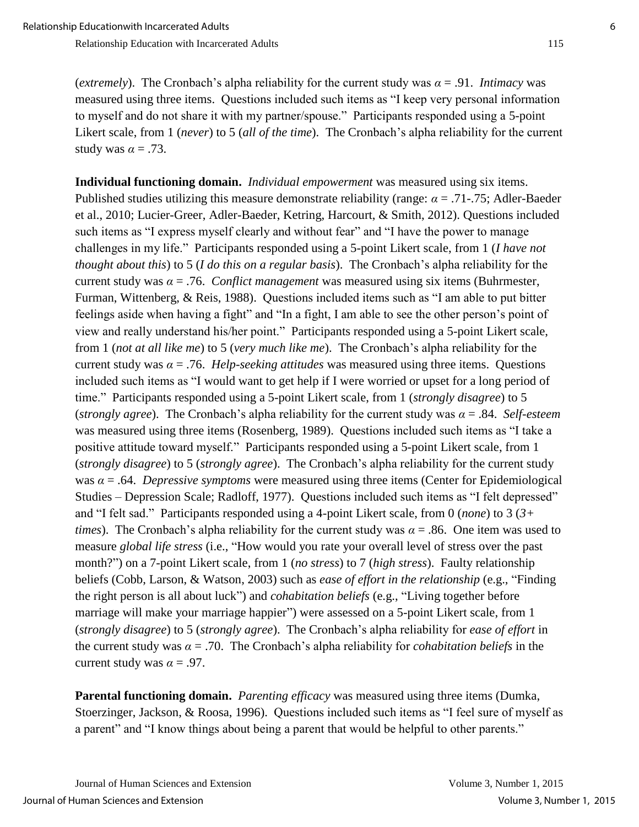(*extremely*). The Cronbach's alpha reliability for the current study was *α* = .91. *Intimacy* was measured using three items. Questions included such items as "I keep very personal information to myself and do not share it with my partner/spouse." Participants responded using a 5-point Likert scale, from 1 (*never*) to 5 (*all of the time*). The Cronbach's alpha reliability for the current study was  $\alpha = .73$ .

**Individual functioning domain.** *Individual empowerment* was measured using six items. Published studies utilizing this measure demonstrate reliability (range: *α* = .71-.75; Adler-Baeder et al., 2010; Lucier-Greer, Adler-Baeder, Ketring, Harcourt, & Smith, 2012). Questions included such items as "I express myself clearly and without fear" and "I have the power to manage challenges in my life." Participants responded using a 5-point Likert scale, from 1 (*I have not thought about this*) to 5 (*I do this on a regular basis*). The Cronbach's alpha reliability for the current study was  $\alpha = 0.76$ . *Conflict management* was measured using six items (Buhrmester, Furman, Wittenberg, & Reis, 1988). Questions included items such as "I am able to put bitter feelings aside when having a fight" and "In a fight, I am able to see the other person's point of view and really understand his/her point." Participants responded using a 5-point Likert scale, from 1 (*not at all like me*) to 5 (*very much like me*). The Cronbach's alpha reliability for the current study was  $\alpha = .76$ . *Help-seeking attitudes* was measured using three items. Questions included such items as "I would want to get help if I were worried or upset for a long period of time." Participants responded using a 5-point Likert scale, from 1 (*strongly disagree*) to 5 (*strongly agree*). The Cronbach's alpha reliability for the current study was *α* = .84. *Self-esteem* was measured using three items (Rosenberg, 1989). Questions included such items as "I take a positive attitude toward myself." Participants responded using a 5-point Likert scale, from 1 (*strongly disagree*) to 5 (*strongly agree*). The Cronbach's alpha reliability for the current study was *α* = .64. *Depressive symptoms* were measured using three items (Center for Epidemiological Studies – Depression Scale; Radloff, 1977). Questions included such items as "I felt depressed" and "I felt sad." Participants responded using a 4-point Likert scale, from 0 (*none*) to 3 (*3+ times*). The Cronbach's alpha reliability for the current study was *α* = .86. One item was used to measure *global life stress* (i.e., "How would you rate your overall level of stress over the past month?") on a 7-point Likert scale, from 1 (*no stress*) to 7 (*high stress*). Faulty relationship beliefs (Cobb, Larson, & Watson, 2003) such as *ease of effort in the relationship* (e.g., "Finding the right person is all about luck") and *cohabitation beliefs* (e.g., "Living together before marriage will make your marriage happier") were assessed on a 5-point Likert scale, from 1 (*strongly disagree*) to 5 (*strongly agree*). The Cronbach's alpha reliability for *ease of effort* in the current study was *α* = .70. The Cronbach's alpha reliability for *cohabitation beliefs* in the current study was  $\alpha = .97$ .

**Parental functioning domain.** *Parenting efficacy* was measured using three items (Dumka, Stoerzinger, Jackson, & Roosa, 1996). Questions included such items as "I feel sure of myself as a parent" and "I know things about being a parent that would be helpful to other parents."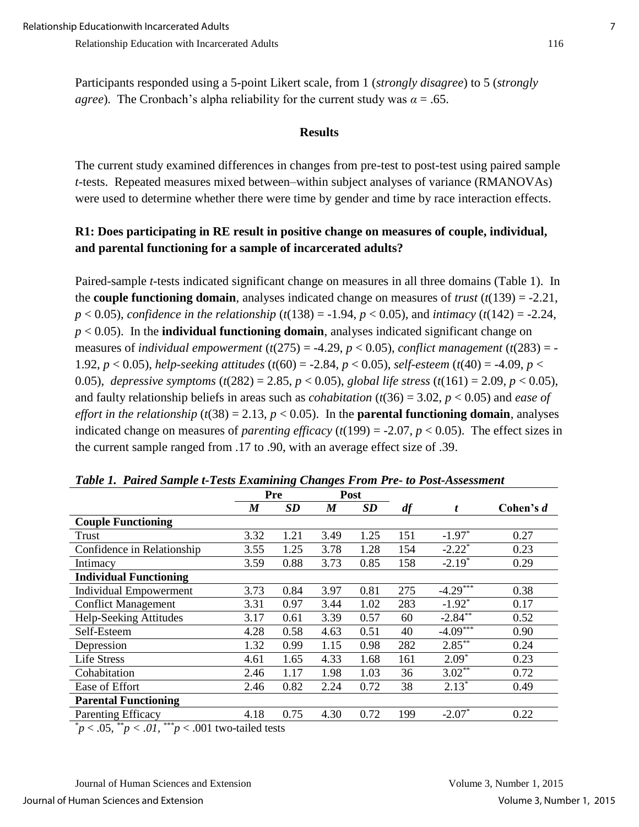#### **Results**

The current study examined differences in changes from pre-test to post-test using paired sample *t*-tests. Repeated measures mixed between–within subject analyses of variance (RMANOVAs) were used to determine whether there were time by gender and time by race interaction effects.

## **R1: Does participating in RE result in positive change on measures of couple, individual, and parental functioning for a sample of incarcerated adults?**

Paired-sample *t*-tests indicated significant change on measures in all three domains (Table 1). In the **couple functioning domain**, analyses indicated change on measures of *trust* (*t*(139) = -2.21, *p* < 0.05), *confidence in the relationship* (*t*(138) = -1.94, *p* < 0.05), and *intimacy* (*t*(142) = -2.24, *p* < 0.05). In the **individual functioning domain**, analyses indicated significant change on measures of *individual empowerment* ( $t(275) = -4.29$ ,  $p < 0.05$ ), *conflict management* ( $t(283) = -$ 1.92, *p* < 0.05), *help-seeking attitudes* (*t*(60) = -2.84, *p* < 0.05), *self-esteem* (*t*(40) = -4.09, *p* < 0.05), *depressive symptoms* (*t*(282) = 2.85, *p* < 0.05), *global life stress* (*t*(161) = 2.09, *p* < 0.05), and faulty relationship beliefs in areas such as *cohabitation*  $(t(36) = 3.02, p < 0.05)$  and *ease of effort in the relationship* ( $t(38) = 2.13$ ,  $p < 0.05$ ). In the **parental functioning domain**, analyses indicated change on measures of *parenting efficacy* ( $t(199) = -2.07$ ,  $p < 0.05$ ). The effect sizes in the current sample ranged from .17 to .90, with an average effect size of .39.

|                                                                                                                                                                                                                                                                          | Pre              |           | Post |      |     |                        |           |
|--------------------------------------------------------------------------------------------------------------------------------------------------------------------------------------------------------------------------------------------------------------------------|------------------|-----------|------|------|-----|------------------------|-----------|
|                                                                                                                                                                                                                                                                          | $\boldsymbol{M}$ | <b>SD</b> | M    | SD   | df  | t                      | Cohen's d |
| <b>Couple Functioning</b>                                                                                                                                                                                                                                                |                  |           |      |      |     |                        |           |
| Trust                                                                                                                                                                                                                                                                    | 3.32             | 1.21      | 3.49 | 1.25 | 151 | $-1.97*$               | 0.27      |
| Confidence in Relationship                                                                                                                                                                                                                                               | 3.55             | 1.25      | 3.78 | 1.28 | 154 | $-2.22$ <sup>*</sup>   | 0.23      |
| Intimacy                                                                                                                                                                                                                                                                 | 3.59             | 0.88      | 3.73 | 0.85 | 158 | $-2.19*$               | 0.29      |
| <b>Individual Functioning</b>                                                                                                                                                                                                                                            |                  |           |      |      |     |                        |           |
| <b>Individual Empowerment</b>                                                                                                                                                                                                                                            | 3.73             | 0.84      | 3.97 | 0.81 | 275 | $-4.29$                | 0.38      |
| <b>Conflict Management</b>                                                                                                                                                                                                                                               | 3.31             | 0.97      | 3.44 | 1.02 | 283 | $-1.92$ <sup>*</sup>   | 0.17      |
| Help-Seeking Attitudes                                                                                                                                                                                                                                                   | 3.17             | 0.61      | 3.39 | 0.57 | 60  | $-2.84$ <sup>**</sup>  | 0.52      |
| Self-Esteem                                                                                                                                                                                                                                                              | 4.28             | 0.58      | 4.63 | 0.51 | 40  | $-4.09$ <sup>***</sup> | 0.90      |
| Depression                                                                                                                                                                                                                                                               | 1.32             | 0.99      | 1.15 | 0.98 | 282 | $2.85***$              | 0.24      |
| <b>Life Stress</b>                                                                                                                                                                                                                                                       | 4.61             | 1.65      | 4.33 | 1.68 | 161 | $2.09*$                | 0.23      |
| Cohabitation                                                                                                                                                                                                                                                             | 2.46             | 1.17      | 1.98 | 1.03 | 36  | $3.02**$               | 0.72      |
| Ease of Effort                                                                                                                                                                                                                                                           | 2.46             | 0.82      | 2.24 | 0.72 | 38  | $2.13*$                | 0.49      |
| <b>Parental Functioning</b>                                                                                                                                                                                                                                              |                  |           |      |      |     |                        |           |
| <b>Parenting Efficacy</b>                                                                                                                                                                                                                                                | 4.18             | 0.75      | 4.30 | 0.72 | 199 | $-2.07*$               | 0.22      |
| and the state of the state of the state of the state of the state of the state of the state of the state of the state of the state of the state of the state of the state of the state of the state of the state of the state<br>ski i na<br>---<br>$\sim$ $\sim$ $\sim$ |                  |           |      |      |     |                        |           |

*Table 1. Paired Sample t-Tests Examining Changes From Pre- to Post-Assessment*

\**p* < .05, \*\**p < .01,* \*\*\**p* < .001 two-tailed tests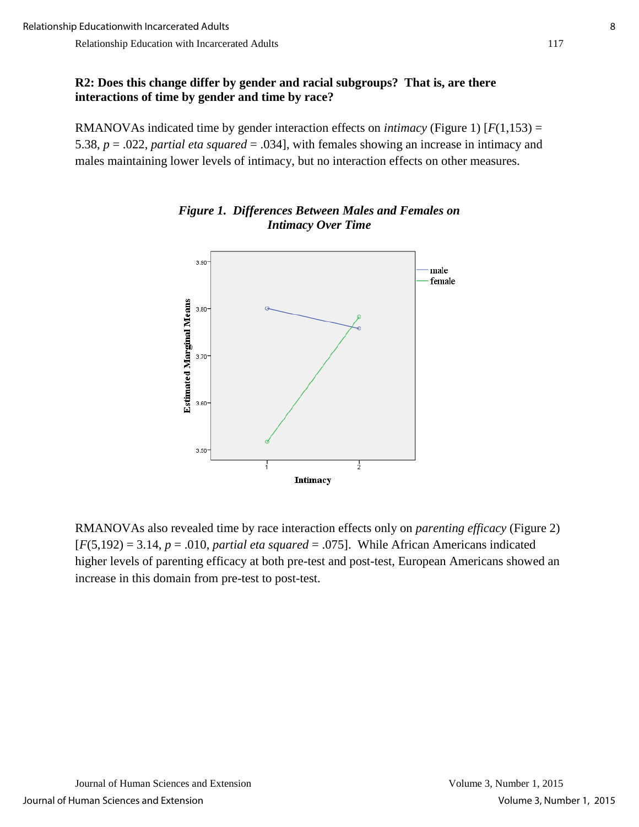#### **R2: Does this change differ by gender and racial subgroups? That is, are there interactions of time by gender and time by race?**

RMANOVAs indicated time by gender interaction effects on *intimacy* (Figure 1) [*F*(1,153) = 5.38, *p* = .022, *partial eta squared* = .034], with females showing an increase in intimacy and males maintaining lower levels of intimacy, but no interaction effects on other measures.



## *Figure 1. Differences Between Males and Females on Intimacy Over Time*

RMANOVAs also revealed time by race interaction effects only on *parenting efficacy* (Figure 2) [*F*(5,192) = 3.14, *p* = .010, *partial eta squared* = .075]. While African Americans indicated higher levels of parenting efficacy at both pre-test and post-test, European Americans showed an increase in this domain from pre-test to post-test.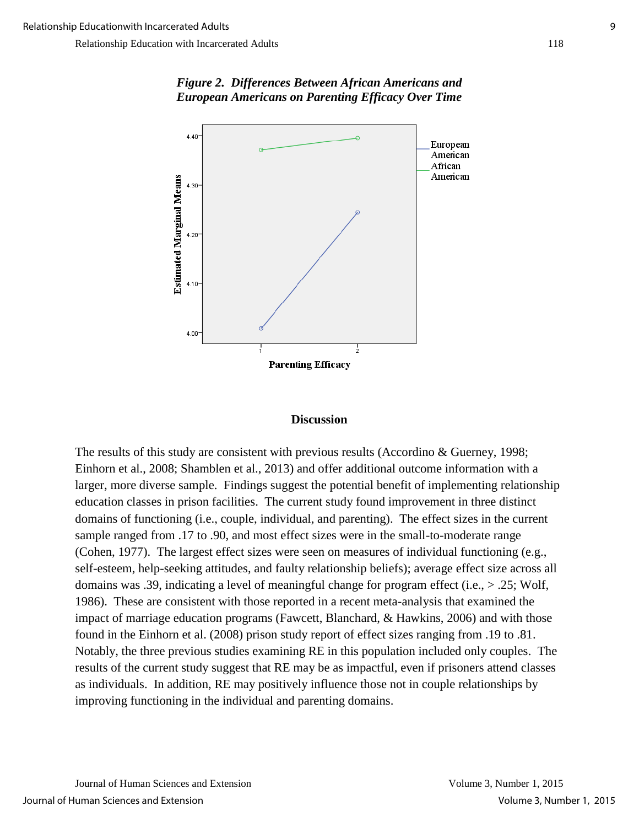

## *Figure 2. Differences Between African Americans and European Americans on Parenting Efficacy Over Time*

#### **Discussion**

The results of this study are consistent with previous results (Accordino & Guerney, 1998; Einhorn et al., 2008; Shamblen et al., 2013) and offer additional outcome information with a larger, more diverse sample. Findings suggest the potential benefit of implementing relationship education classes in prison facilities. The current study found improvement in three distinct domains of functioning (i.e., couple, individual, and parenting). The effect sizes in the current sample ranged from .17 to .90, and most effect sizes were in the small-to-moderate range (Cohen, 1977). The largest effect sizes were seen on measures of individual functioning (e.g., self-esteem, help-seeking attitudes, and faulty relationship beliefs); average effect size across all domains was .39, indicating a level of meaningful change for program effect (i.e., > .25; Wolf, 1986). These are consistent with those reported in a recent meta-analysis that examined the impact of marriage education programs (Fawcett, Blanchard, & Hawkins, 2006) and with those found in the Einhorn et al. (2008) prison study report of effect sizes ranging from .19 to .81. Notably, the three previous studies examining RE in this population included only couples. The results of the current study suggest that RE may be as impactful, even if prisoners attend classes as individuals. In addition, RE may positively influence those not in couple relationships by improving functioning in the individual and parenting domains.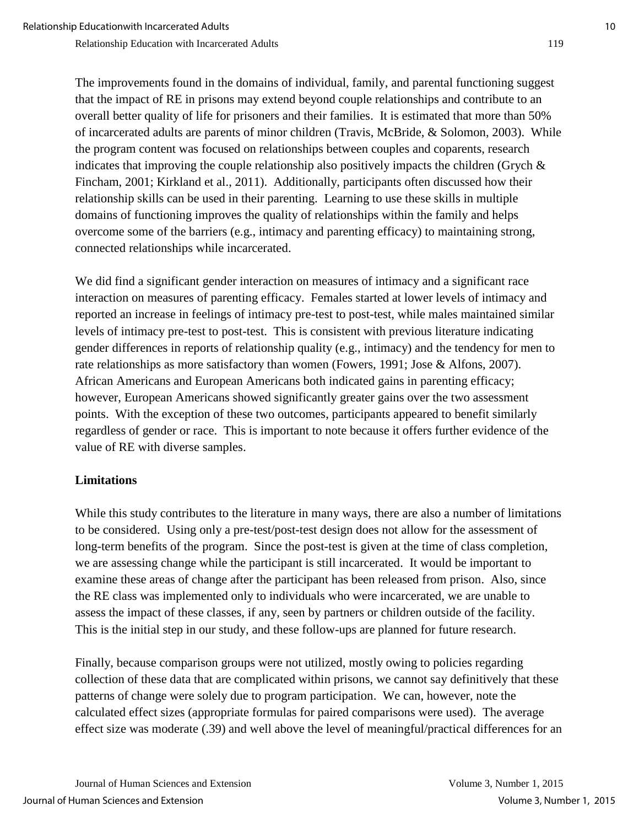The improvements found in the domains of individual, family, and parental functioning suggest that the impact of RE in prisons may extend beyond couple relationships and contribute to an overall better quality of life for prisoners and their families. It is estimated that more than 50% of incarcerated adults are parents of minor children (Travis, McBride, & Solomon, 2003). While the program content was focused on relationships between couples and coparents, research indicates that improving the couple relationship also positively impacts the children (Grych  $\&$ Fincham, 2001; Kirkland et al., 2011). Additionally, participants often discussed how their relationship skills can be used in their parenting. Learning to use these skills in multiple domains of functioning improves the quality of relationships within the family and helps overcome some of the barriers (e.g., intimacy and parenting efficacy) to maintaining strong, connected relationships while incarcerated.

We did find a significant gender interaction on measures of intimacy and a significant race interaction on measures of parenting efficacy. Females started at lower levels of intimacy and reported an increase in feelings of intimacy pre-test to post-test, while males maintained similar levels of intimacy pre-test to post-test. This is consistent with previous literature indicating gender differences in reports of relationship quality (e.g., intimacy) and the tendency for men to rate relationships as more satisfactory than women (Fowers, 1991; Jose & Alfons, 2007). African Americans and European Americans both indicated gains in parenting efficacy; however, European Americans showed significantly greater gains over the two assessment points. With the exception of these two outcomes, participants appeared to benefit similarly regardless of gender or race. This is important to note because it offers further evidence of the value of RE with diverse samples.

## **Limitations**

While this study contributes to the literature in many ways, there are also a number of limitations to be considered. Using only a pre-test/post-test design does not allow for the assessment of long-term benefits of the program. Since the post-test is given at the time of class completion, we are assessing change while the participant is still incarcerated. It would be important to examine these areas of change after the participant has been released from prison. Also, since the RE class was implemented only to individuals who were incarcerated, we are unable to assess the impact of these classes, if any, seen by partners or children outside of the facility. This is the initial step in our study, and these follow-ups are planned for future research.

Finally, because comparison groups were not utilized, mostly owing to policies regarding collection of these data that are complicated within prisons, we cannot say definitively that these patterns of change were solely due to program participation. We can, however, note the calculated effect sizes (appropriate formulas for paired comparisons were used). The average effect size was moderate (.39) and well above the level of meaningful/practical differences for an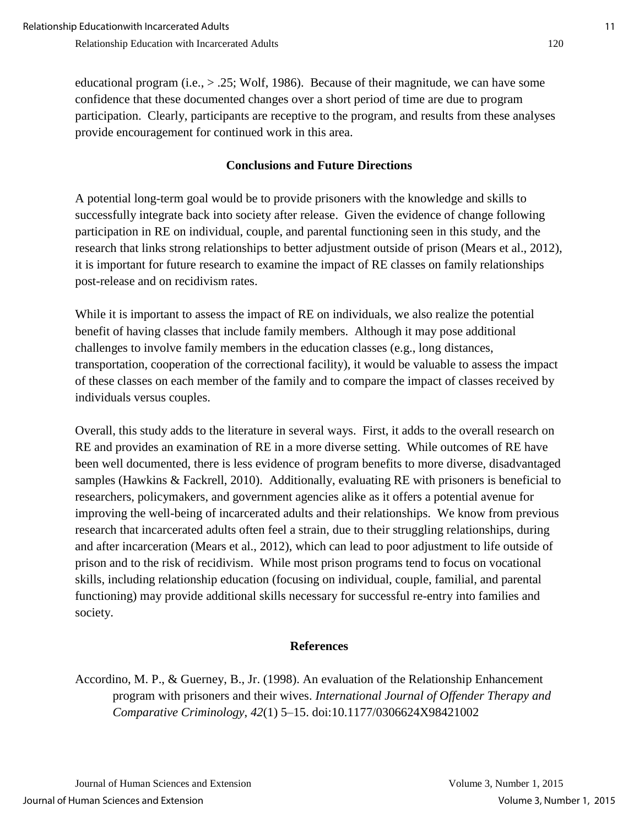educational program (i.e.,  $> 0.25$ ; Wolf, 1986). Because of their magnitude, we can have some confidence that these documented changes over a short period of time are due to program participation. Clearly, participants are receptive to the program, and results from these analyses provide encouragement for continued work in this area.

## **Conclusions and Future Directions**

A potential long-term goal would be to provide prisoners with the knowledge and skills to successfully integrate back into society after release. Given the evidence of change following participation in RE on individual, couple, and parental functioning seen in this study, and the research that links strong relationships to better adjustment outside of prison (Mears et al., 2012), it is important for future research to examine the impact of RE classes on family relationships post-release and on recidivism rates.

While it is important to assess the impact of RE on individuals, we also realize the potential benefit of having classes that include family members. Although it may pose additional challenges to involve family members in the education classes (e.g., long distances, transportation, cooperation of the correctional facility), it would be valuable to assess the impact of these classes on each member of the family and to compare the impact of classes received by individuals versus couples.

Overall, this study adds to the literature in several ways. First, it adds to the overall research on RE and provides an examination of RE in a more diverse setting. While outcomes of RE have been well documented, there is less evidence of program benefits to more diverse, disadvantaged samples (Hawkins & Fackrell, 2010). Additionally, evaluating RE with prisoners is beneficial to researchers, policymakers, and government agencies alike as it offers a potential avenue for improving the well-being of incarcerated adults and their relationships. We know from previous research that incarcerated adults often feel a strain, due to their struggling relationships, during and after incarceration (Mears et al., 2012), which can lead to poor adjustment to life outside of prison and to the risk of recidivism. While most prison programs tend to focus on vocational skills, including relationship education (focusing on individual, couple, familial, and parental functioning) may provide additional skills necessary for successful re-entry into families and society.

### **References**

Accordino, M. P., & Guerney, B., Jr. (1998). An evaluation of the Relationship Enhancement program with prisoners and their wives. *International Journal of Offender Therapy and Comparative Criminology*, *42*(1) 5–15. doi:10.1177/0306624X98421002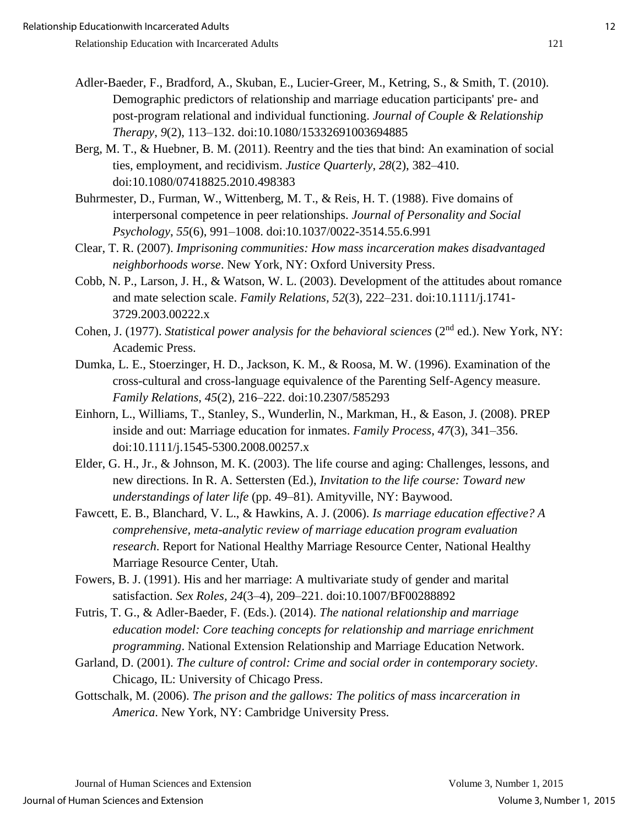- Adler-Baeder, F., Bradford, A., Skuban, E., Lucier-Greer, M., Ketring, S., & Smith, T. (2010). Demographic predictors of relationship and marriage education participants' pre- and post-program relational and individual functioning. *Journal of Couple & Relationship Therapy*, *9*(2), 113–132. doi:10.1080/15332691003694885
- Berg, M. T., & Huebner, B. M. (2011). Reentry and the ties that bind: An examination of social ties, employment, and recidivism. *Justice Quarterly*, *28*(2), 382–410. doi:10.1080/07418825.2010.498383
- Buhrmester, D., Furman, W., Wittenberg, M. T., & Reis, H. T. (1988). Five domains of interpersonal competence in peer relationships. *Journal of Personality and Social Psychology*, *55*(6), 991–1008. doi:10.1037/0022-3514.55.6.991
- Clear, T. R. (2007). *Imprisoning communities: How mass incarceration makes disadvantaged neighborhoods worse*. New York, NY: Oxford University Press.
- Cobb, N. P., Larson, J. H., & Watson, W. L. (2003). Development of the attitudes about romance and mate selection scale. *Family Relations, 52*(3), 222–231. doi:10.1111/j.1741- 3729.2003.00222.x
- Cohen, J. (1977). *Statistical power analysis for the behavioral sciences* (2<sup>nd</sup> ed.). New York, NY: Academic Press.
- Dumka, L. E., Stoerzinger, H. D., Jackson, K. M., & Roosa, M. W. (1996). Examination of the cross-cultural and cross-language equivalence of the Parenting Self-Agency measure. *Family Relations*, *45*(2), 216–222. doi:10.2307/585293
- Einhorn, L., Williams, T., Stanley, S., Wunderlin, N., Markman, H., & Eason, J. (2008). PREP inside and out: Marriage education for inmates. *Family Process*, *47*(3), 341–356. doi:10.1111/j.1545-5300.2008.00257.x
- Elder, G. H., Jr., & Johnson, M. K. (2003). The life course and aging: Challenges, lessons, and new directions. In R. A. Settersten (Ed.), *Invitation to the life course: Toward new understandings of later life* (pp. 49–81). Amityville, NY: Baywood.
- Fawcett, E. B., Blanchard, V. L., & Hawkins, A. J. (2006). *Is marriage education effective? A comprehensive, meta-analytic review of marriage education program evaluation research*. Report for National Healthy Marriage Resource Center, National Healthy Marriage Resource Center, Utah.
- Fowers, B. J. (1991). His and her marriage: A multivariate study of gender and marital satisfaction. *Sex Roles, 24*(3–4), 209–221. doi:10.1007/BF00288892
- Futris, T. G., & Adler-Baeder, F. (Eds.). (2014). *The national relationship and marriage education model: Core teaching concepts for relationship and marriage enrichment programming*. National Extension Relationship and Marriage Education Network.
- Garland, D. (2001). *The culture of control: Crime and social order in contemporary society*. Chicago, IL: University of Chicago Press.
- Gottschalk, M. (2006). *The prison and the gallows: The politics of mass incarceration in America*. New York, NY: Cambridge University Press.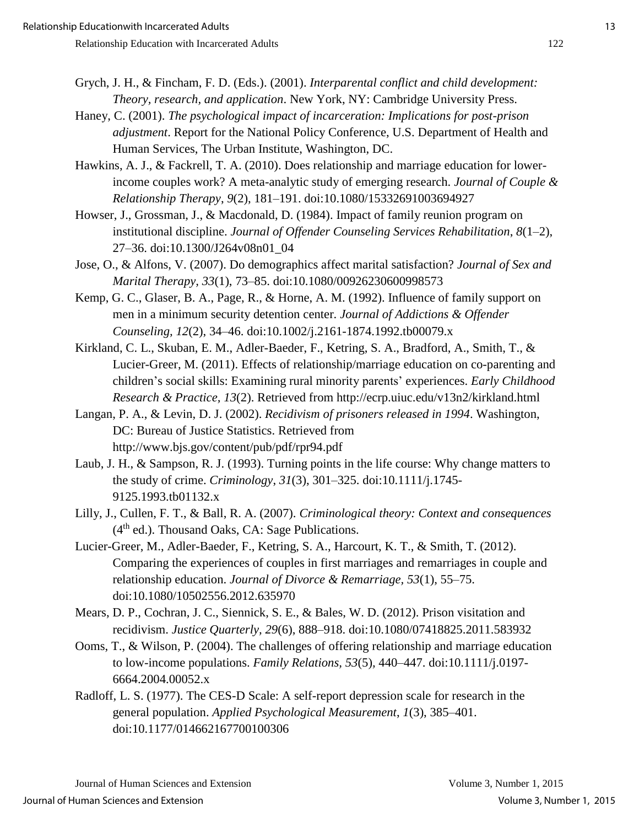- Grych, J. H., & Fincham, F. D. (Eds.). (2001). *Interparental conflict and child development: Theory, research, and application*. New York, NY: Cambridge University Press.
- Haney, C. (2001). *The psychological impact of incarceration: Implications for post-prison adjustment*. Report for the National Policy Conference, U.S. Department of Health and Human Services, The Urban Institute, Washington, DC.
- Hawkins, A. J., & Fackrell, T. A. (2010). Does relationship and marriage education for lowerincome couples work? A meta-analytic study of emerging research. *Journal of Couple & Relationship Therapy*, *9*(2), 181–191. doi:10.1080/15332691003694927
- Howser, J., Grossman, J., & Macdonald, D. (1984). Impact of family reunion program on institutional discipline. *Journal of Offender Counseling Services Rehabilitation*, *8*(1–2), 27–36. doi:10.1300/J264v08n01\_04
- Jose, O., & Alfons, V. (2007). Do demographics affect marital satisfaction? *Journal of Sex and Marital Therapy, 33*(1), 73–85. doi:10.1080/00926230600998573
- Kemp, G. C., Glaser, B. A., Page, R., & Horne, A. M. (1992). Influence of family support on men in a minimum security detention center. *Journal of Addictions & Offender Counseling, 12*(2), 34–46. doi:10.1002/j.2161-1874.1992.tb00079.x
- Kirkland, C. L., Skuban, E. M., Adler-Baeder, F., Ketring, S. A., Bradford, A., Smith, T., & Lucier-Greer, M. (2011). Effects of relationship/marriage education on co-parenting and children's social skills: Examining rural minority parents' experiences. *Early Childhood Research & Practice, 13*(2). Retrieved from http://ecrp.uiuc.edu/v13n2/kirkland.html
- Langan, P. A., & Levin, D. J. (2002). *Recidivism of prisoners released in 1994*. Washington, DC: Bureau of Justice Statistics. Retrieved from http://www.bjs.gov/content/pub/pdf/rpr94.pdf
- Laub, J. H., & Sampson, R. J. (1993). Turning points in the life course: Why change matters to the study of crime. *Criminology*, *31*(3), 301–325. doi:10.1111/j.1745- 9125.1993.tb01132.x
- Lilly, J., Cullen, F. T., & Ball, R. A. (2007). *Criminological theory: Context and consequences*   $(4<sup>th</sup>$  ed.). Thousand Oaks, CA: Sage Publications.
- Lucier-Greer, M., Adler-Baeder, F., Ketring, S. A., Harcourt, K. T., & Smith, T. (2012). Comparing the experiences of couples in first marriages and remarriages in couple and relationship education. *Journal of Divorce & Remarriage, 53*(1), 55–75. doi:10.1080/10502556.2012.635970
- Mears, D. P., Cochran, J. C., Siennick, S. E., & Bales, W. D. (2012). Prison visitation and recidivism. *Justice Quarterly, 29*(6), 888–918. doi:10.1080/07418825.2011.583932
- Ooms, T., & Wilson, P. (2004). The challenges of offering relationship and marriage education to low-income populations. *Family Relations, 53*(5)*,* 440–447. doi:10.1111/j.0197- 6664.2004.00052.x
- Radloff, L. S. (1977). The CES-D Scale: A self-report depression scale for research in the general population. *Applied Psychological Measurement*, *1*(3), 385–401. doi:10.1177/014662167700100306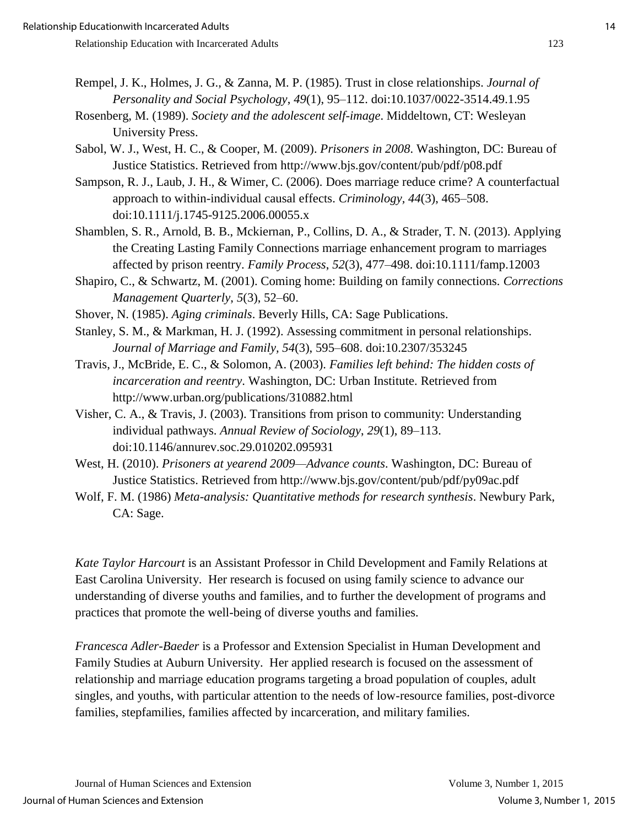- Rempel, J. K., Holmes, J. G., & Zanna, M. P. (1985). Trust in close relationships. *Journal of Personality and Social Psychology*, *49*(1), 95–112. doi:10.1037/0022-3514.49.1.95
- Rosenberg, M. (1989). *Society and the adolescent self-image*. Middeltown, CT: Wesleyan University Press.
- Sabol, W. J., West, H. C., & Cooper, M. (2009). *Prisoners in 2008*. Washington, DC: Bureau of Justice Statistics. Retrieved from http://www.bjs.gov/content/pub/pdf/p08.pdf
- Sampson, R. J., Laub, J. H., & Wimer, C. (2006). Does marriage reduce crime? A counterfactual approach to within-individual causal effects. *Criminology, 44*(3), 465–508. doi:10.1111/j.1745-9125.2006.00055.x
- Shamblen, S. R., Arnold, B. B., Mckiernan, P., Collins, D. A., & Strader, T. N. (2013). Applying the Creating Lasting Family Connections marriage enhancement program to marriages affected by prison reentry. *Family Process*, *52*(3), 477–498. doi:10.1111/famp.12003
- Shapiro, C., & Schwartz, M. (2001). Coming home: Building on family connections. *Corrections Management Quarterly*, *5*(3), 52–60.
- Shover, N. (1985). *Aging criminals*. Beverly Hills, CA: Sage Publications.
- Stanley, S. M., & Markman, H. J. (1992). Assessing commitment in personal relationships. *Journal of Marriage and Family, 54*(3), 595–608. doi:10.2307/353245
- Travis, J., McBride, E. C., & Solomon, A. (2003). *Families left behind: The hidden costs of incarceration and reentry*. Washington, DC: Urban Institute. Retrieved from http://www.urban.org/publications/310882.html
- Visher, C. A., & Travis, J. (2003). Transitions from prison to community: Understanding individual pathways. *Annual Review of Sociology*, *29*(1), 89–113. doi:10.1146/annurev.soc.29.010202.095931
- West, H. (2010). *Prisoners at yearend 2009—Advance counts*. Washington, DC: Bureau of Justice Statistics. Retrieved from http://www.bjs.gov/content/pub/pdf/py09ac.pdf
- Wolf, F. M. (1986) *Meta-analysis: Quantitative methods for research synthesis*. Newbury Park, CA: Sage.

*Kate Taylor Harcourt* is an Assistant Professor in Child Development and Family Relations at East Carolina University. Her research is focused on using family science to advance our understanding of diverse youths and families, and to further the development of programs and practices that promote the well-being of diverse youths and families.

*Francesca Adler-Baeder* is a Professor and Extension Specialist in Human Development and Family Studies at Auburn University. Her applied research is focused on the assessment of relationship and marriage education programs targeting a broad population of couples, adult singles, and youths, with particular attention to the needs of low-resource families, post-divorce families, stepfamilies, families affected by incarceration, and military families.